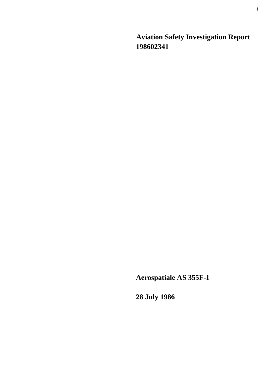**Aviation Safety Investigation Report 198602341** 

**Aerospatiale AS 355F-1** 

**28 July 1986**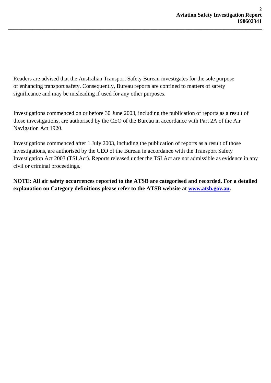Readers are advised that the Australian Transport Safety Bureau investigates for the sole purpose of enhancing transport safety. Consequently, Bureau reports are confined to matters of safety significance and may be misleading if used for any other purposes.

**\_\_\_\_\_\_\_\_\_\_\_\_\_\_\_\_\_\_\_\_\_\_\_\_\_\_\_\_\_\_\_\_\_\_\_\_\_\_\_\_\_\_\_\_\_\_\_\_\_\_\_\_\_\_\_\_\_\_\_\_\_\_\_\_\_\_\_\_\_\_\_\_\_\_\_\_\_\_\_\_\_\_\_\_\_\_\_\_\_\_\_\_\_** 

Investigations commenced on or before 30 June 2003, including the publication of reports as a result of those investigations, are authorised by the CEO of the Bureau in accordance with Part 2A of the Air Navigation Act 1920.

Investigations commenced after 1 July 2003, including the publication of reports as a result of those investigations, are authorised by the CEO of the Bureau in accordance with the Transport Safety Investigation Act 2003 (TSI Act). Reports released under the TSI Act are not admissible as evidence in any civil or criminal proceedings.

**NOTE: All air safety occurrences reported to the ATSB are categorised and recorded. For a detailed explanation on Category definitions please refer to the ATSB website at [www.atsb.gov.au](http://www.atsb.gov.au/).**